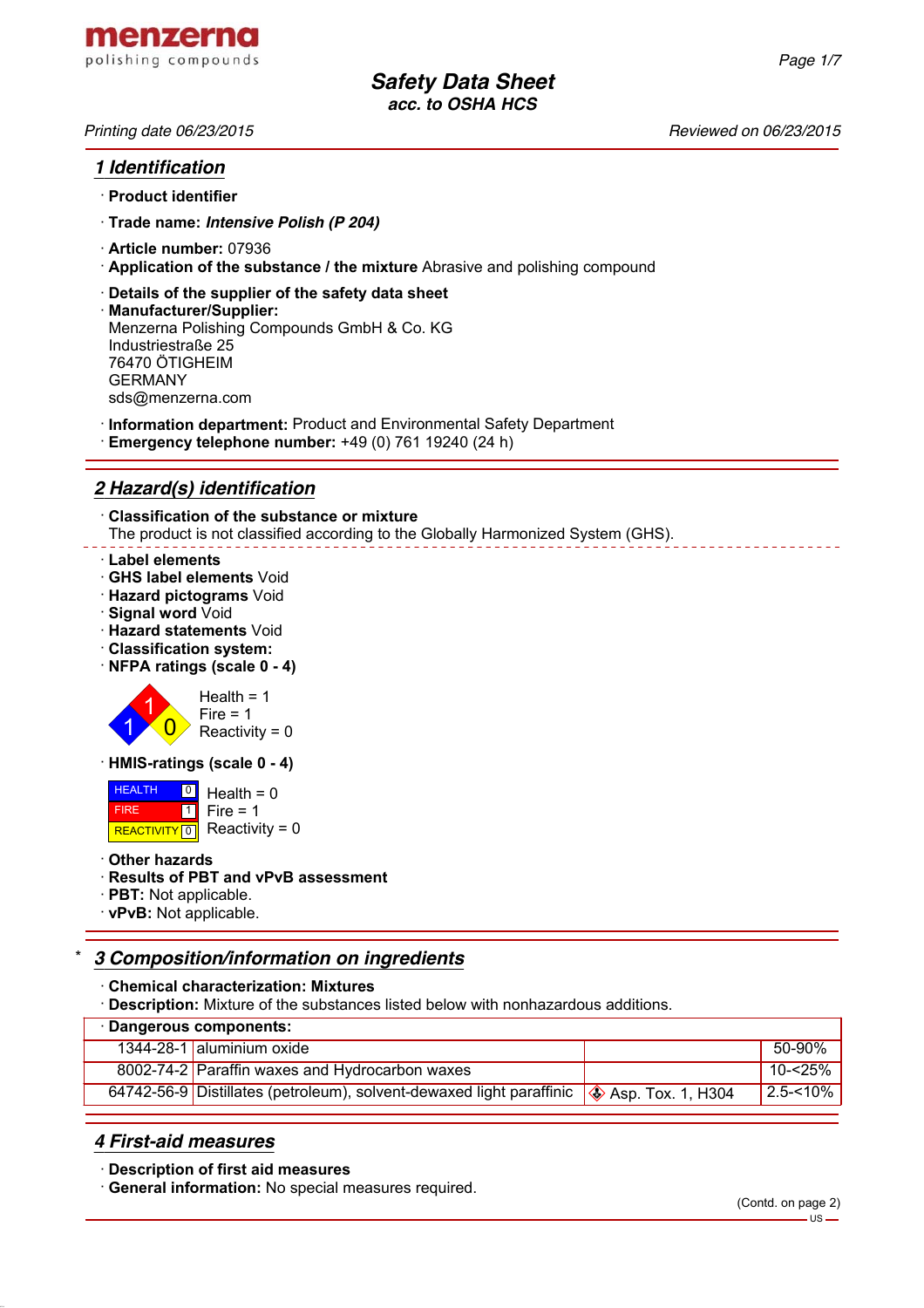# *1 Identification*

- · **Product identifier**
- · **Trade name:** *Intensive Polish (P 204)*
- · **Article number:** 07936
- · **Application of the substance / the mixture** Abrasive and polishing compound
- · **Details of the supplier of the safety data sheet**
- · **Manufacturer/Supplier:** Menzerna Polishing Compounds GmbH & Co. KG Industriestraße 25 76470 ÖTIGHEIM GERMANY sds@menzerna.com
- · **Information department:** Product and Environmental Safety Department
- · **Emergency telephone number:** +49 (0) 761 19240 (24 h)

# *2 Hazard(s) identification*

· **Classification of the substance or mixture** The product is not classified according to the Globally Harmonized System (GHS).

#### · **Label elements**

- · **GHS label elements** Void
- · **Hazard pictograms** Void
- · **Signal word** Void
- · **Hazard statements** Void
- · **Classification system:**
- · **NFPA ratings (scale 0 4)**



· **HMIS-ratings (scale 0 - 4)**

 HEALTH FIRE REACTIVITY  $\boxed{0}$  Reactivity = 0 <u>이</u> Health = 0  $\overline{1}$  $Fire = 1$ 

· **Other hazards**

### · **Results of PBT and vPvB assessment**

- · **PBT:** Not applicable.
- · **vPvB:** Not applicable.

# \* *3 Composition/information on ingredients*

- · **Chemical characterization: Mixtures**
- · **Description:** Mixture of the substances listed below with nonhazardous additions.

| · Dangerous components: |                                                                                                        |  |               |  |  |
|-------------------------|--------------------------------------------------------------------------------------------------------|--|---------------|--|--|
|                         | 1344-28-1 aluminium oxide                                                                              |  | 50-90%        |  |  |
|                         | 8002-74-2 Paraffin waxes and Hydrocarbon waxes                                                         |  | ' 10-<25%     |  |  |
|                         | 64742-56-9 Distillates (petroleum), solvent-dewaxed light paraffinic ( $\clubsuit$ ) Asp. Tox. 1, H304 |  | $12.5 - 10\%$ |  |  |

## *4 First-aid measures*

· **Description of first aid measures**

· **General information:** No special measures required.

*Page 1/7*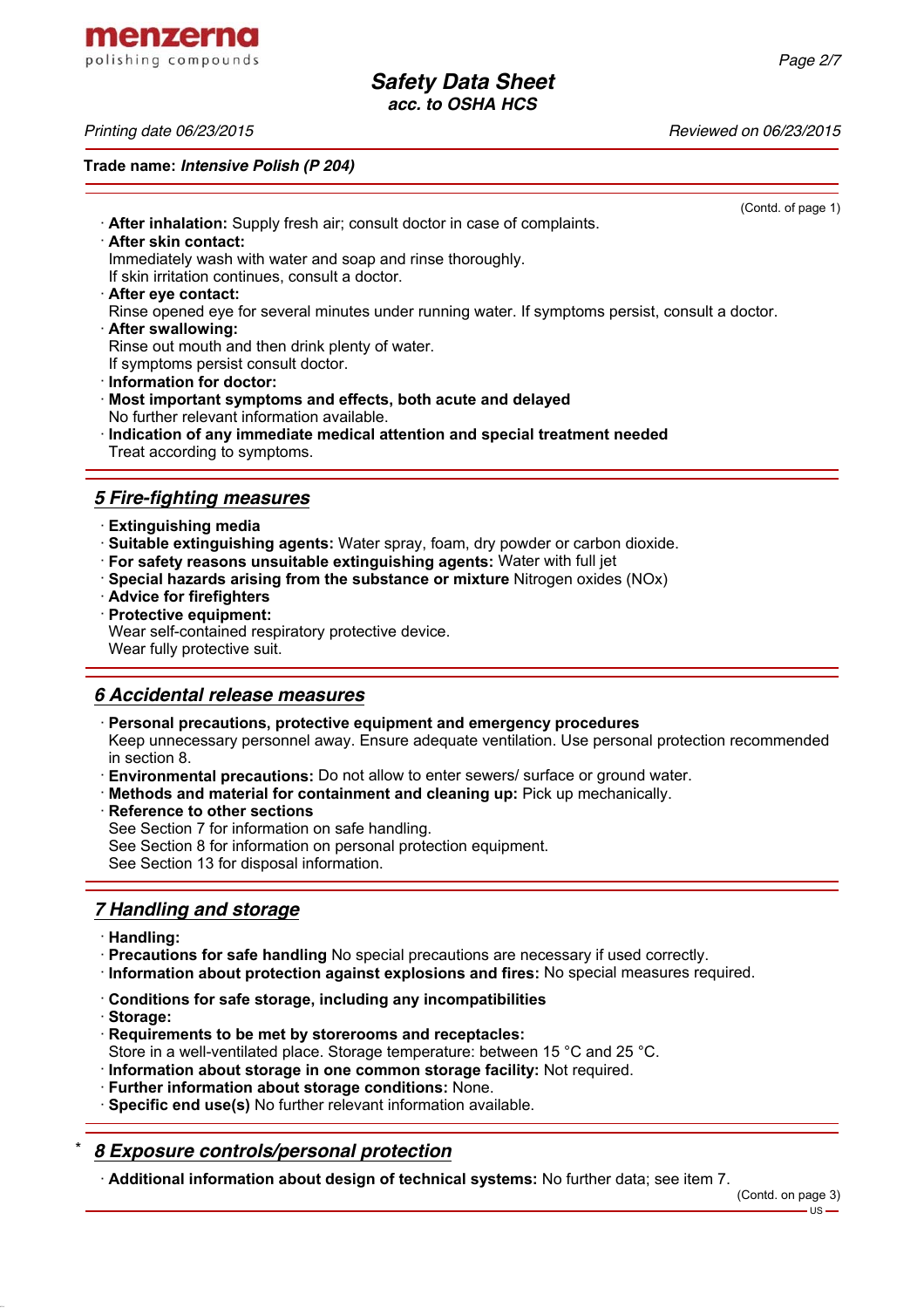menzerna polishing compounds

*Printing date 06/23/2015 Reviewed on 06/23/2015*

**Trade name:** *Intensive Polish (P 204)*

(Contd. of page 1) · **After inhalation:** Supply fresh air; consult doctor in case of complaints. · **After skin contact:** Immediately wash with water and soap and rinse thoroughly. If skin irritation continues, consult a doctor. · **After eye contact:** Rinse opened eye for several minutes under running water. If symptoms persist, consult a doctor. · **After swallowing:** Rinse out mouth and then drink plenty of water. If symptoms persist consult doctor. · **Information for doctor:** · **Most important symptoms and effects, both acute and delayed** No further relevant information available. · **Indication of any immediate medical attention and special treatment needed** Treat according to symptoms. *5 Fire-fighting measures* · **Extinguishing media** · **Suitable extinguishing agents:** Water spray, foam, dry powder or carbon dioxide. · **For safety reasons unsuitable extinguishing agents:** Water with full jet · **Special hazards arising from the substance or mixture** Nitrogen oxides (NOx)

- · **Advice for firefighters**
- · **Protective equipment:**

Wear self-contained respiratory protective device. Wear fully protective suit.

#### *6 Accidental release measures*

· **Personal precautions, protective equipment and emergency procedures**

Keep unnecessary personnel away. Ensure adequate ventilation. Use personal protection recommended in section 8.

- · **Environmental precautions:** Do not allow to enter sewers/ surface or ground water.
- · **Methods and material for containment and cleaning up:** Pick up mechanically.
- **Reference to other sections**
- See Section 7 for information on safe handling.
- See Section 8 for information on personal protection equipment.

See Section 13 for disposal information.

## *7 Handling and storage*

· **Handling:**

· **Precautions for safe handling** No special precautions are necessary if used correctly.

- · **Information about protection against explosions and fires:** No special measures required.
- · **Conditions for safe storage, including any incompatibilities**
- · **Storage:**
- · **Requirements to be met by storerooms and receptacles:** Store in a well-ventilated place. Storage temperature: between 15 °C and 25 °C.
- · **Information about storage in one common storage facility:** Not required.
- · **Further information about storage conditions:** None.
- · **Specific end use(s)** No further relevant information available.

# \* *8 Exposure controls/personal protection*

· **Additional information about design of technical systems:** No further data; see item 7.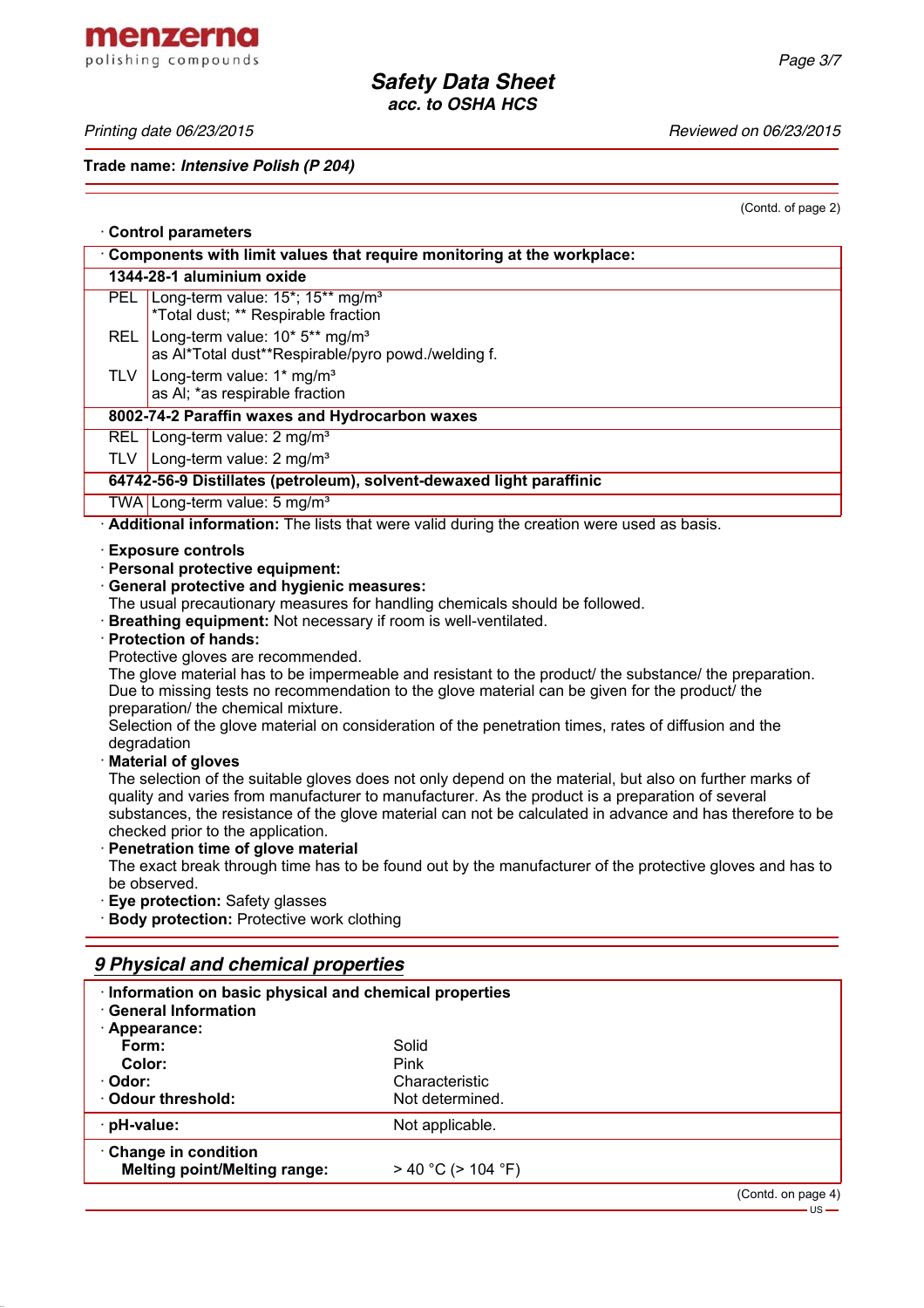menzerna polishing compounds

*Printing date 06/23/2015 Reviewed on 06/23/2015*

**Trade name:** *Intensive Polish (P 204)*

(Contd. of page 2)

| <b>Control parameters</b>                                                                                                                                                                                                                                                                                                                                                                                                                                                                                                                                                                                                                                                                                                                                                                                                                                                                                                                                                                                                                                                                                                                                                                                                                                                                                                                                    |                                                                                                             |  |  |  |
|--------------------------------------------------------------------------------------------------------------------------------------------------------------------------------------------------------------------------------------------------------------------------------------------------------------------------------------------------------------------------------------------------------------------------------------------------------------------------------------------------------------------------------------------------------------------------------------------------------------------------------------------------------------------------------------------------------------------------------------------------------------------------------------------------------------------------------------------------------------------------------------------------------------------------------------------------------------------------------------------------------------------------------------------------------------------------------------------------------------------------------------------------------------------------------------------------------------------------------------------------------------------------------------------------------------------------------------------------------------|-------------------------------------------------------------------------------------------------------------|--|--|--|
| Components with limit values that require monitoring at the workplace:                                                                                                                                                                                                                                                                                                                                                                                                                                                                                                                                                                                                                                                                                                                                                                                                                                                                                                                                                                                                                                                                                                                                                                                                                                                                                       |                                                                                                             |  |  |  |
|                                                                                                                                                                                                                                                                                                                                                                                                                                                                                                                                                                                                                                                                                                                                                                                                                                                                                                                                                                                                                                                                                                                                                                                                                                                                                                                                                              | 1344-28-1 aluminium oxide                                                                                   |  |  |  |
|                                                                                                                                                                                                                                                                                                                                                                                                                                                                                                                                                                                                                                                                                                                                                                                                                                                                                                                                                                                                                                                                                                                                                                                                                                                                                                                                                              | PEL Long-term value: 15*; 15** mg/m <sup>3</sup><br>*Total dust; ** Respirable fraction                     |  |  |  |
| REL                                                                                                                                                                                                                                                                                                                                                                                                                                                                                                                                                                                                                                                                                                                                                                                                                                                                                                                                                                                                                                                                                                                                                                                                                                                                                                                                                          | Long-term value: 10* 5** mg/m <sup>3</sup><br>as Al*Total dust**Respirable/pyro powd./welding f.            |  |  |  |
| <b>TLV</b>                                                                                                                                                                                                                                                                                                                                                                                                                                                                                                                                                                                                                                                                                                                                                                                                                                                                                                                                                                                                                                                                                                                                                                                                                                                                                                                                                   | Long-term value: $1*$ mg/m <sup>3</sup><br>as AI; *as respirable fraction                                   |  |  |  |
|                                                                                                                                                                                                                                                                                                                                                                                                                                                                                                                                                                                                                                                                                                                                                                                                                                                                                                                                                                                                                                                                                                                                                                                                                                                                                                                                                              | 8002-74-2 Paraffin waxes and Hydrocarbon waxes                                                              |  |  |  |
|                                                                                                                                                                                                                                                                                                                                                                                                                                                                                                                                                                                                                                                                                                                                                                                                                                                                                                                                                                                                                                                                                                                                                                                                                                                                                                                                                              | REL Long-term value: 2 mg/m <sup>3</sup>                                                                    |  |  |  |
|                                                                                                                                                                                                                                                                                                                                                                                                                                                                                                                                                                                                                                                                                                                                                                                                                                                                                                                                                                                                                                                                                                                                                                                                                                                                                                                                                              | TLV   Long-term value: $2 \text{ mg/m}^3$                                                                   |  |  |  |
|                                                                                                                                                                                                                                                                                                                                                                                                                                                                                                                                                                                                                                                                                                                                                                                                                                                                                                                                                                                                                                                                                                                                                                                                                                                                                                                                                              | 64742-56-9 Distillates (petroleum), solvent-dewaxed light paraffinic                                        |  |  |  |
|                                                                                                                                                                                                                                                                                                                                                                                                                                                                                                                                                                                                                                                                                                                                                                                                                                                                                                                                                                                                                                                                                                                                                                                                                                                                                                                                                              | TWA Long-term value: 5 mg/m <sup>3</sup>                                                                    |  |  |  |
|                                                                                                                                                                                                                                                                                                                                                                                                                                                                                                                                                                                                                                                                                                                                                                                                                                                                                                                                                                                                                                                                                                                                                                                                                                                                                                                                                              | Additional information: The lists that were valid during the creation were used as basis.                   |  |  |  |
| <b>Exposure controls</b><br>· Personal protective equipment:<br><b>General protective and hygienic measures:</b><br>The usual precautionary measures for handling chemicals should be followed.<br>· Breathing equipment: Not necessary if room is well-ventilated.<br>· Protection of hands:<br>Protective gloves are recommended.<br>The glove material has to be impermeable and resistant to the product/ the substance/ the preparation.<br>Due to missing tests no recommendation to the glove material can be given for the product/ the<br>preparation/ the chemical mixture.<br>Selection of the glove material on consideration of the penetration times, rates of diffusion and the<br>degradation<br><b>Material of gloves</b><br>The selection of the suitable gloves does not only depend on the material, but also on further marks of<br>quality and varies from manufacturer to manufacturer. As the product is a preparation of several<br>substances, the resistance of the glove material can not be calculated in advance and has therefore to be<br>checked prior to the application.<br>Penetration time of glove material<br>The exact break through time has to be found out by the manufacturer of the protective gloves and has to<br>be observed.<br>Eye protection: Safety glasses<br>Body protection: Protective work clothing |                                                                                                             |  |  |  |
| 9 Physical and chemical properties                                                                                                                                                                                                                                                                                                                                                                                                                                                                                                                                                                                                                                                                                                                                                                                                                                                                                                                                                                                                                                                                                                                                                                                                                                                                                                                           |                                                                                                             |  |  |  |
| Form:                                                                                                                                                                                                                                                                                                                                                                                                                                                                                                                                                                                                                                                                                                                                                                                                                                                                                                                                                                                                                                                                                                                                                                                                                                                                                                                                                        | Information on basic physical and chemical properties<br><b>General Information</b><br>Appearance:<br>Solid |  |  |  |

**Color:** Pink<br>
Pink<br>
Pink<br>
Char Characteristic<br>Not determined. · Odour threshold: · **pH-value:** Not applicable. · **Change in condition Melting point/Melting range:** > 40 °C (> 104 °F)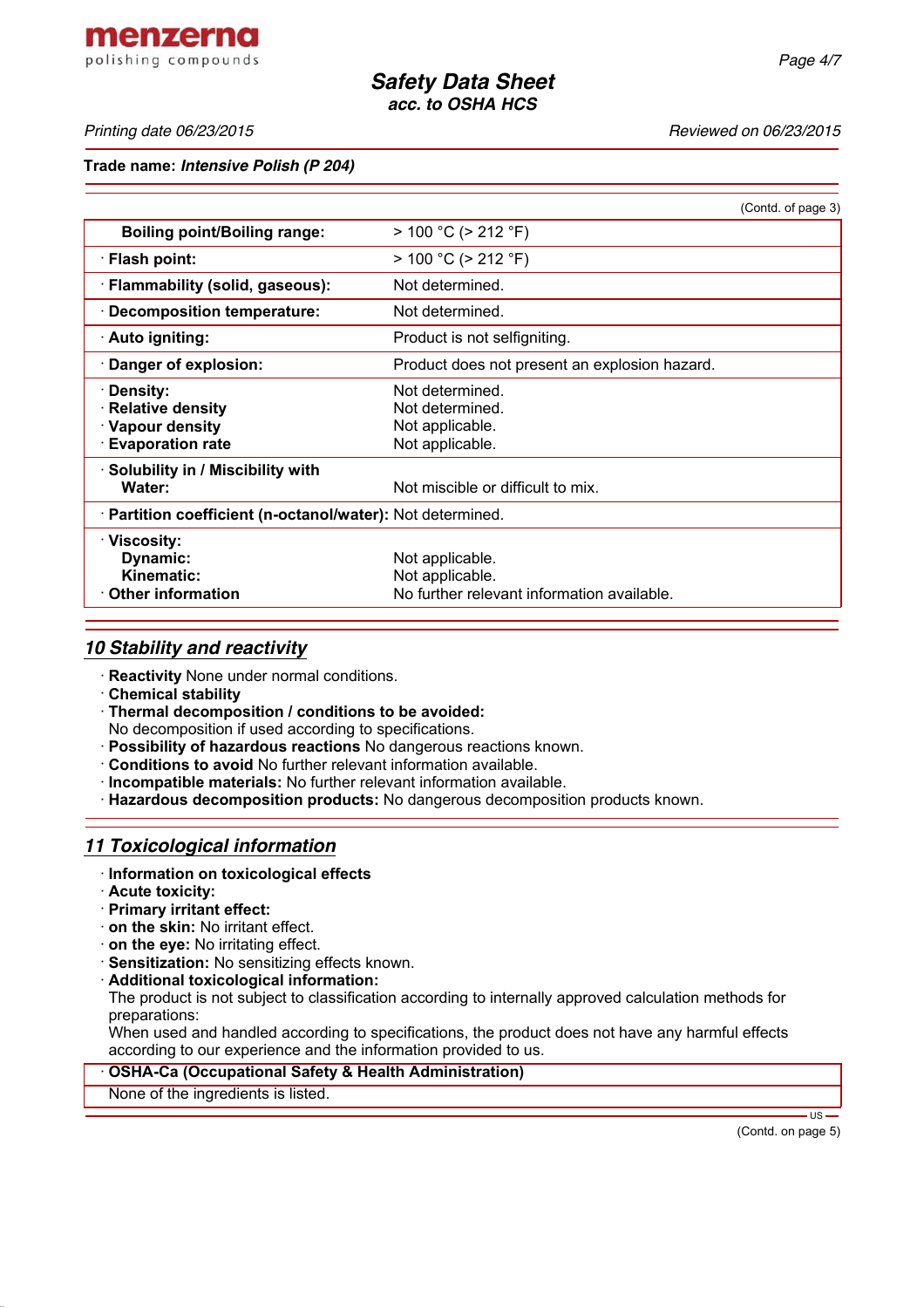*Printing date 06/23/2015 Reviewed on 06/23/2015*

**Trade name:** *Intensive Polish (P 204)*

|                                                                                 | (Contd. of page 3)                                                               |  |
|---------------------------------------------------------------------------------|----------------------------------------------------------------------------------|--|
| <b>Boiling point/Boiling range:</b>                                             | $> 100 °C$ ( $> 212 °F$ )                                                        |  |
| · Flash point:                                                                  | $> 100 °C$ ( $> 212 °F$ )                                                        |  |
| · Flammability (solid, gaseous):                                                | Not determined.                                                                  |  |
| · Decomposition temperature:                                                    | Not determined.                                                                  |  |
| · Auto igniting:                                                                | Product is not selfigniting.                                                     |  |
| · Danger of explosion:                                                          | Product does not present an explosion hazard.                                    |  |
| · Density:<br>· Relative density<br>· Vapour density<br><b>Evaporation rate</b> | Not determined.<br>Not determined.<br>Not applicable.<br>Not applicable.         |  |
| · Solubility in / Miscibility with<br>Water:                                    | Not miscible or difficult to mix.                                                |  |
| · Partition coefficient (n-octanol/water): Not determined.                      |                                                                                  |  |
| · Viscosity:<br>Dynamic:<br><b>Kinematic:</b><br>$\cdot$ Other information      | Not applicable.<br>Not applicable.<br>No further relevant information available. |  |

### *10 Stability and reactivity*

- · **Reactivity** None under normal conditions.
- · **Chemical stability**
- · **Thermal decomposition / conditions to be avoided:**
- No decomposition if used according to specifications.
- · **Possibility of hazardous reactions** No dangerous reactions known.
- · **Conditions to avoid** No further relevant information available.
- · **Incompatible materials:** No further relevant information available.
- · **Hazardous decomposition products:** No dangerous decomposition products known.

## *11 Toxicological information*

- · **Information on toxicological effects**
- · **Acute toxicity:**
- · **Primary irritant effect:**
- · **on the skin:** No irritant effect.
- · **on the eye:** No irritating effect.
- · **Sensitization:** No sensitizing effects known.
- · **Additional toxicological information:**

The product is not subject to classification according to internally approved calculation methods for preparations:

When used and handled according to specifications, the product does not have any harmful effects according to our experience and the information provided to us.

#### · **OSHA-Ca (Occupational Safety & Health Administration)**

None of the ingredients is listed.

(Contd. on page 5)

- US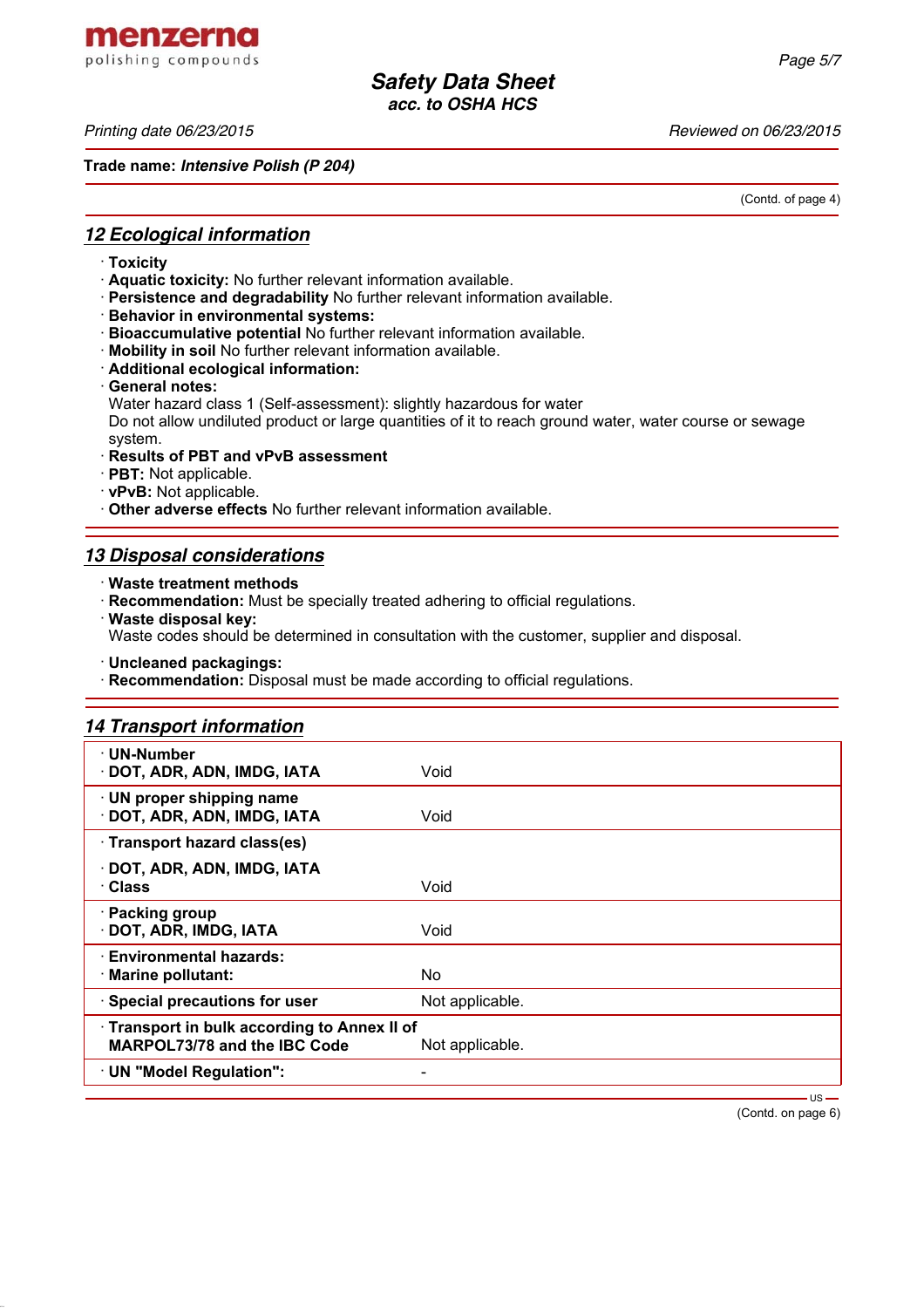*Printing date 06/23/2015 Reviewed on 06/23/2015*

**Trade name:** *Intensive Polish (P 204)*

(Contd. of page 4)

## *12 Ecological information*

- · **Toxicity**
- · **Aquatic toxicity:** No further relevant information available.
- · **Persistence and degradability** No further relevant information available.
- · **Behavior in environmental systems:**
- · **Bioaccumulative potential** No further relevant information available.
- · **Mobility in soil** No further relevant information available.
- · **Additional ecological information:**
- · **General notes:**

Water hazard class 1 (Self-assessment): slightly hazardous for water Do not allow undiluted product or large quantities of it to reach ground water, water course or sewage system.

- · **Results of PBT and vPvB assessment**
- · **PBT:** Not applicable.
- · **vPvB:** Not applicable.
- · **Other adverse effects** No further relevant information available.

### *13 Disposal considerations*

· **Waste treatment methods**

· **Recommendation:** Must be specially treated adhering to official regulations.

· **Waste disposal key:**

Waste codes should be determined in consultation with the customer, supplier and disposal.

· **Uncleaned packagings:**

· **Recommendation:** Disposal must be made according to official regulations.

#### *14 Transport information*

| $\cdot$ UN-Number<br>DOT, ADR, ADN, IMDG, IATA                                                | Void            |  |
|-----------------------------------------------------------------------------------------------|-----------------|--|
| · UN proper shipping name<br>DOT, ADR, ADN, IMDG, IATA                                        | Void            |  |
| · Transport hazard class(es)                                                                  |                 |  |
| · DOT, ADR, ADN, IMDG, IATA<br>· Class                                                        | Void            |  |
| · Packing group<br>· DOT, ADR, IMDG, IATA                                                     | Void            |  |
| · Environmental hazards:<br>· Marine pollutant:                                               | No              |  |
| · Special precautions for user                                                                | Not applicable. |  |
| Transport in bulk according to Annex II of<br>MARPOL73/78 and the IBC Code<br>Not applicable. |                 |  |
| · UN "Model Regulation":                                                                      |                 |  |
|                                                                                               | $US -$          |  |

(Contd. on page 6)

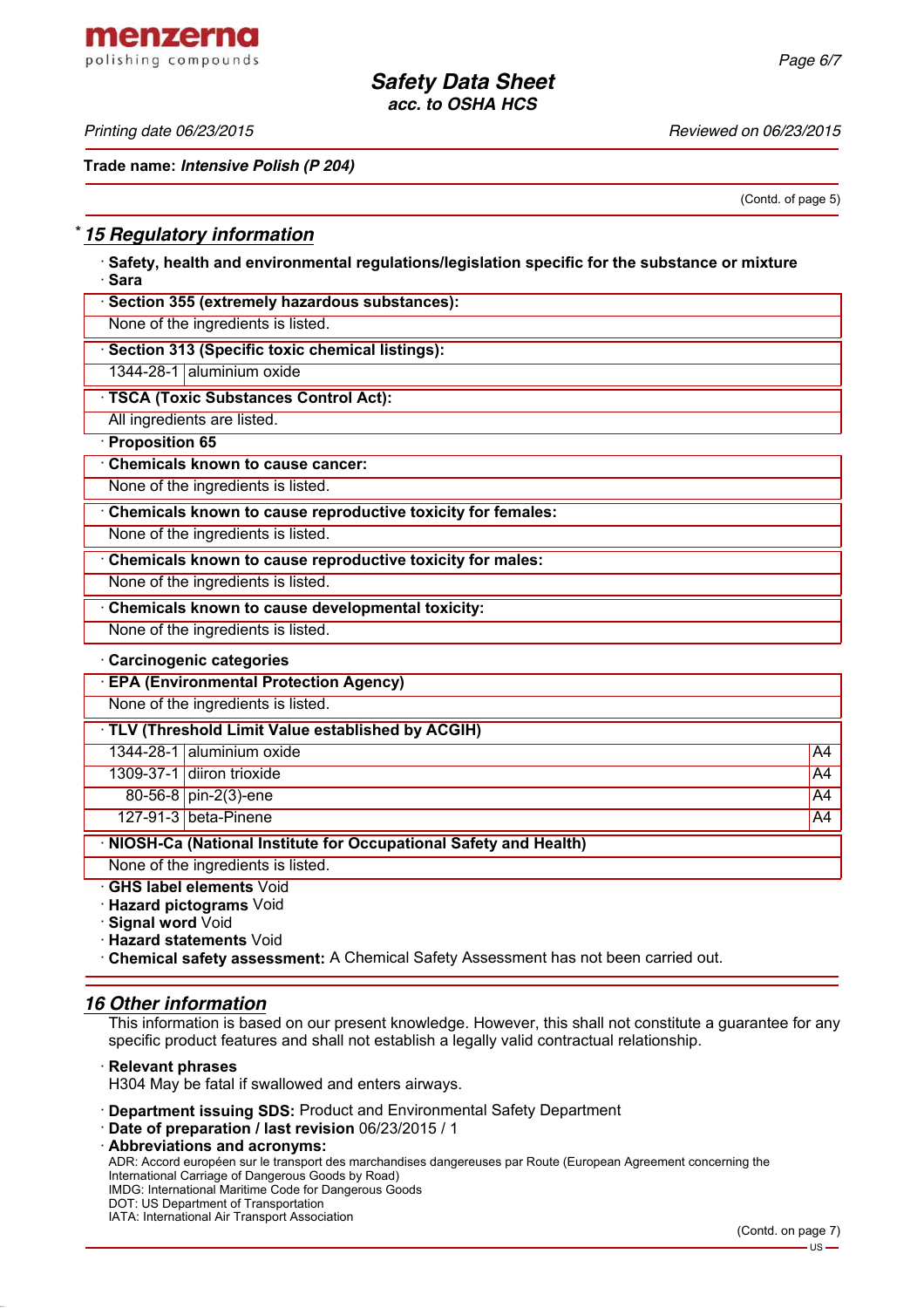menzerna polishing compounds

*Printing date 06/23/2015 Reviewed on 06/23/2015*

**Trade name:** *Intensive Polish (P 204)*

(Contd. of page 5)

## \* *15 Regulatory information*

· **Safety, health and environmental regulations/legislation specific for the substance or mixture** · **Sara**

| · Section 355 (extremely hazardous substances):             |
|-------------------------------------------------------------|
| None of the ingredients is listed.                          |
| Section 313 (Specific toxic chemical listings):             |
| 1344-28-1 aluminium oxide                                   |
| · TSCA (Toxic Substances Control Act):                      |
| All ingredients are listed.                                 |
| Proposition 65                                              |
| <b>Chemicals known to cause cancer:</b>                     |
| None of the ingredients is listed.                          |
| Chemicals known to cause reproductive toxicity for females: |
| None of the ingredients is listed.                          |
| Chemicals known to cause reproductive toxicity for males:   |
| None of the ingredients is listed.                          |
| Chemicals known to cause developmental toxicity:            |
| None of the ingredients is listed.                          |
| · Carcinogenic categories                                   |
| <b>EPA (Environmental Protection Agency)</b>                |
| None of the ingredients is listed                           |

None of the ingredients is listed.

| TLV (Threshold Limit Value established by ACGIH)                   |                           |    |  |  |
|--------------------------------------------------------------------|---------------------------|----|--|--|
|                                                                    | 1344-28-1 aluminium oxide | A4 |  |  |
|                                                                    | 1309-37-1 diiron trioxide | A4 |  |  |
|                                                                    | 80-56-8 pin-2(3)-ene      | A4 |  |  |
|                                                                    | 127-91-3 beta-Pinene      | A4 |  |  |
| · NIOSH-Ca (National Institute for Occupational Safety and Health) |                           |    |  |  |

None of the ingredients is listed.

· **GHS label elements** Void

· **Hazard pictograms** Void

· **Signal word** Void

· **Hazard statements** Void

· **Chemical safety assessment:** A Chemical Safety Assessment has not been carried out.

#### *16 Other information*

This information is based on our present knowledge. However, this shall not constitute a guarantee for any specific product features and shall not establish a legally valid contractual relationship.

· **Relevant phrases**

H304 May be fatal if swallowed and enters airways.

- · **Department issuing SDS:** Product and Environmental Safety Department
- · **Date of preparation / last revision** 06/23/2015 / 1

· **Abbreviations and acronyms:** ADR: Accord européen sur le transport des marchandises dangereuses par Route (European Agreement concerning the International Carriage of Dangerous Goods by Road) IMDG: International Maritime Code for Dangerous Goods DOT: US Department of Transportation IATA: International Air Transport Association